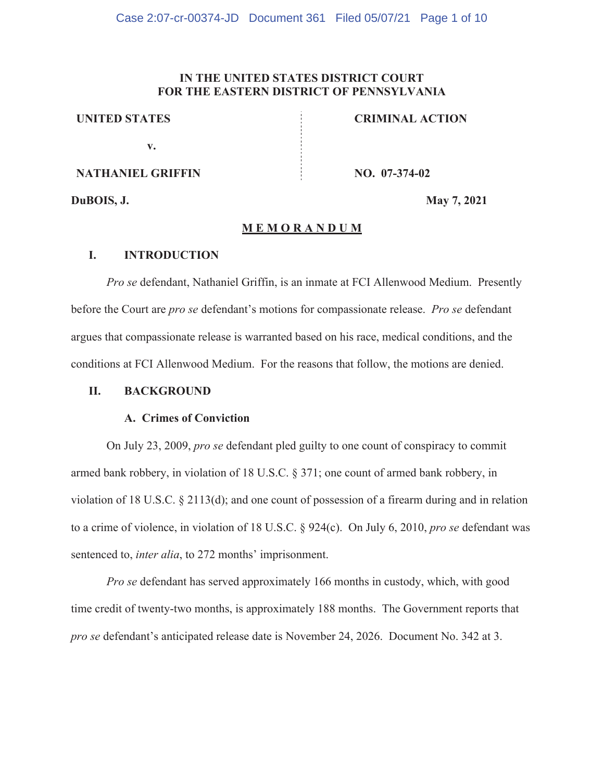# **IN THE UNITED STATES DISTRICT COURT FOR THE EASTERN DISTRICT OF PENNSYLVANIA**

## **UNITED STATES**

**v**.

**NATHANIEL GRIFFIN** 

**NO.** 07-374-02

**CRIMINAL ACTION** 

DuBOIS, J.

**1.** May 7 **-**

## MEMORANDUM

## **I.** INTRODUCTION

*Pro se* defendant, Nathaniel Griffin, is an inmate at FCI Allenwood Medium. Presently before the Court are *pro se* defendant's motions for compassionate release. *Pro se* defendant argues that compassionate release is warranted based on his race, medical conditions, and the conditions at FCI Allenwood Medium. For the reasons that follow, the motions are denied.

## **II. BACKGROUND**

# A. Crimes of Conviction

On July 23, 2009, *pro se* defendant pled guilty to one count of conspiracy to commit armed bank robbery, in violation of 18 U.S.C. § 371; one count of armed bank robbery, in violation of 18 U.S.C.  $\S 2113(d)$ ; and one count of possession of a firearm during and in relation to a crime of violence, in violation of 18 U.S.C.  $\S$  924(c). On July 6, 2010, *pro se* defendant was sentenced to, *inter alia*, to 272 months' imprisonment.

*Pro se* defendant has served approximately 166 months in custody, which, with good time credit of twenty-two months, is approximately 188 months. The Government reports that pro se defendant's anticipated release date is November 24, 2026. Document No. 342 at 3.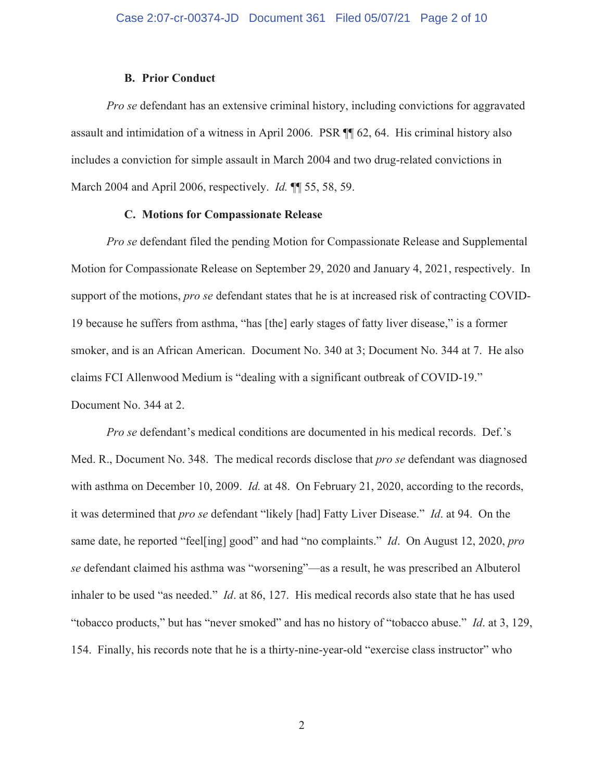## **B. Prior Conduct**

*Pro se* defendant has an extensive criminal history, including convictions for aggravated assault and intimidation of a witness in April 2006. PSR  $\P$  62, 64. His criminal history also includes a conviction for simple assault in March 2004 and two drug-related convictions in March 2004 and April 2006, respectively. *Id.* **11** 55, 58, 59.

## **C.** Motions for Compassionate Release

*Pro se* defendant filed the pending Motion for Compassionate Release and Supplemental Motion for Compassionate Release on September 29, 2020 and January 4, 2021, respectively. In support of the motions, *pro se* defendant states that he is at increased risk of contracting COVID-19 because he suffers from asthma, "has [the] early stages of fatty liver disease," is a former smoker, and is an African American. Document No. 340 at 3; Document No. 344 at 7. He also claims FCI Allenwood Medium is "dealing with a significant outbreak of COVID-19." Document No. 344 at 2.

*Pro se* defendant's medical conditions are documented in his medical records. Def.'s Med. R., Document No. 348. The medical records disclose that *pro se* defendant was diagnosed with asthma on December 10, 2009. *Id.* at 48. On February 21, 2020, according to the records, it was determined that pro se defendant "likely [had] Fatty Liver Disease." *Id.* at 94. On the same date, he reported "feel[ing] good" and had "no complaints." *Id.* On August 12, 2020, pro *se* defendant claimed his asthma was "worsening"—as a result, he was prescribed an Albuterol inhaler to be used "as needed." *Id.* at 86, 127. His medical records also state that he has used "tobacco products," but has "never smoked" and has no history of "tobacco abuse." *Id.* at 3, 129, 154. Finally, his records note that he is a thirty-nine-year-old "exercise class instructor" who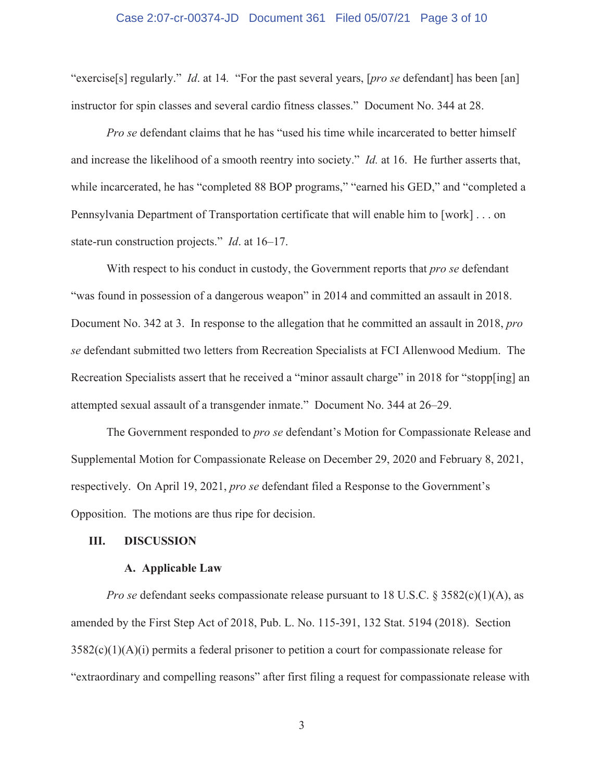#### Case 2:07-cr-00374-JD Document 361 Filed 05/07/21 Page 3 of 10

"exercise[s] regularly." *Id.* at 14. "For the past several years, [pro se defendant] has been [an] instructor for spin classes and several cardio fitness classes." Document No. 344 at 28.

*Pro se* defendant claims that he has "used his time while incarcerated to better himself and increase the likelihood of a smooth reentry into society." *Id.* at 16. He further asserts that, while incarcerated, he has "completed 88 BOP programs," "earned his GED," and "completed a Pennsylvania Department of Transportation certificate that will enable him to [work]  $\dots$  on state-run construction projects." *Id.* at 16–17.

With respect to his conduct in custody, the Government reports that *pro se* defendant "was found in possession of a dangerous weapon" in 2014 and committed an assault in 2018. Document No. 342 at 3. In response to the allegation that he committed an assault in 2018, pro *se* defendant submitted two letters from Recreation Specialists at FCI Allenwood Medium. The Recreation Specialists assert that he received a "minor assault charge" in 2018 for "stopp[ing] an attempted sexual assault of a transgender inmate." Document No. 344 at 26-29.

The Government responded to *pro se* defendant's Motion for Compassionate Release and Supplemental Motion for Compassionate Release on December 29, 2020 and February 8, 2021, respectively. On April 19, 2021, *pro se* defendant filed a Response to the Government's Opposition. The motions are thus ripe for decision.

## **III.** DISCUSSION

#### **A.** Applicable Law

*Pro se* defendant seeks compassionate release pursuant to 18 U.S.C. §  $3582(c)(1)(A)$ , as amended by the First Step Act of 2018, Pub. L. No. 115-391, 132 Stat. 5194 (2018). Section  $3582(c)(1)(A)(i)$  permits a federal prisoner to petition a court for compassionate release for "extraordinary and compelling reasons" after first filing a request for compassionate release with

 $\mathfrak{Z}$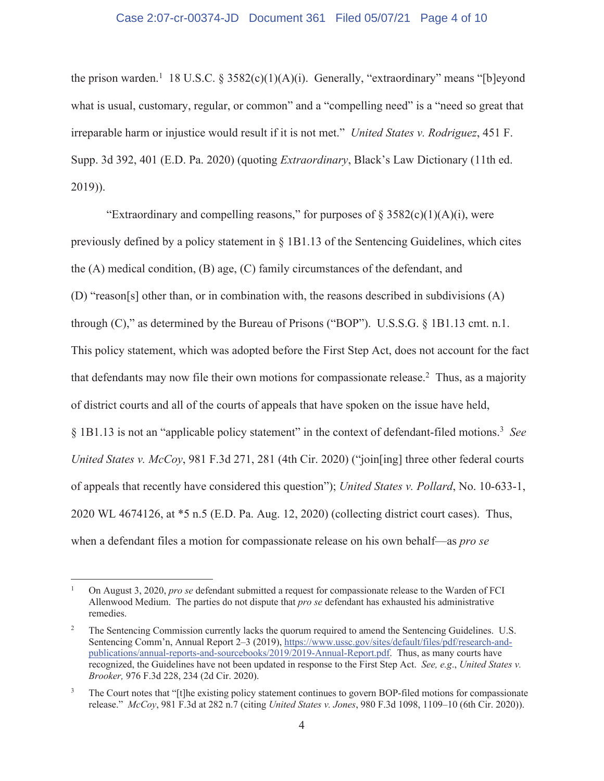## Case 2:07-cr-00374-JD Document 361 Filed 05/07/21 Page 4 of 10

the prison warden.<sup>1</sup> 18 U.S.C. § 3582(c)(1)(A)(i). Generally, "extraordinary" means "[b]eyond what is usual, customary, regular, or common" and a "compelling need" is a "need so great that irreparable harm or injustice would result if it is not met." *United States v. Rodriguez*, 451 F. Supp. 3d 392, 401 (E.D. Pa. 2020) (quoting *Extraordinary*, Black's Law Dictionary (11th ed. 2019)).

"Extraordinary and compelling reasons," for purposes of  $\S 3582(c)(1)(A)(i)$ , were previously defined by a policy statement in  $\S$  1B1.13 of the Sentencing Guidelines, which cites the  $(A)$  medical condition,  $(B)$  age,  $(C)$  family circumstances of the defendant, and (D) "reason[s] other than, or in combination with, the reasons described in subdivisions  $(A)$ through  $(C)$ ," as determined by the Bureau of Prisons ("BOP"). U.S.S.G. § 1B1.13 cmt. n.1. This policy statement, which was adopted before the First Step Act, does not account for the fact that defendants may now file their own motions for compassionate release.<sup>2</sup> Thus, as a majority of district courts and all of the courts of appeals that have spoken on the issue have held,  $\S$  1B1.13 is not an "applicable policy statement" in the context of defendant-filed motions.<sup>3</sup> See United States v. McCoy, 981 F.3d 271, 281 (4th Cir. 2020) ("join[ing] three other federal courts of appeals that recently have considered this question"); United States v. Pollard, No. 10-633-1,  $2020$  WL 4674126, at  $*5$  n.5 (E.D. Pa. Aug. 12, 2020) (collecting district court cases). Thus, when a defendant files a motion for compassionate release on his own behalf—as *pro se* 

 $\mathbf 1$ On August 3, 2020, *pro se* defendant submitted a request for compassionate release to the Warden of FCI Allenwood Medium. The parties do not dispute that pro se defendant has exhausted his administrative remedies.

<sup>2</sup> The Sentencing Commission currently lacks the quorum required to amend the Sentencing Guidelines. U.S. Sentencing Comm'n, Annual Report 2-3 (2019), https://www.ussc.gov/sites/default/files/pdf/research-andpublications/annual-reports-and-sourcebooks/2019/2019-Annual-Report.pdf. Thus, as many courts have recognized, the Guidelines have not been updated in response to the First Step Act. See, e.g., United States v. Brooker, 976 F.3d 228, 234 (2d Cir. 2020).

 $\mathfrak{Z}$ The Court notes that "[t]he existing policy statement continues to govern BOP-filed motions for compassionate release." McCoy, 981 F.3d at 282 n.7 (citing United States v. Jones, 980 F.3d 1098, 1109-10 (6th Cir. 2020)).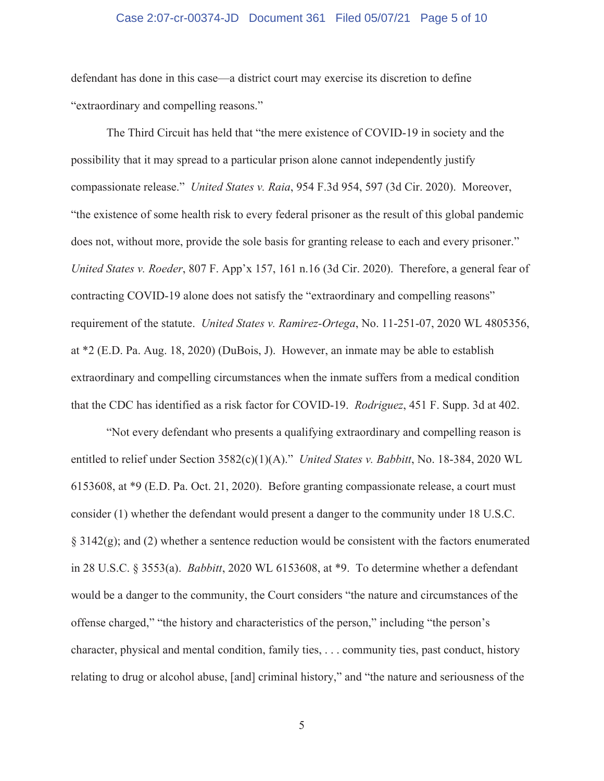## Case 2:07-cr-00374-JD Document 361 Filed 05/07/21 Page 5 of 10

defendant has done in this case—a district court may exercise its discretion to define "extraordinary and compelling reasons."

The Third Circuit has held that "the mere existence of COVID-19 in society and the possibility that it may spread to a particular prison alone cannot independently justify compassionate release." *United States v. Raia*, 954 F.3d 954, 597 (3d Cir. 2020). Moreover, "the existence of some health risk to every federal prisoner as the result of this global pandemic does not, without more, provide the sole basis for granting release to each and every prisoner." United States v. Roeder, 807 F. App'x 157, 161 n.16 (3d Cir. 2020). Therefore, a general fear of contracting COVID-19 alone does not satisfy the "extraordinary and compelling reasons" requirement of the statute. United States v. Ramirez-Ortega, No. 11-251-07, 2020 WL 4805356, at  $*2$  (E.D. Pa. Aug. 18, 2020) (DuBois, J). However, an inmate may be able to establish  $extraordinary$  and compelling circumstances when the inmate suffers from a medical condition that the CDC has identified as a risk factor for COVID-19. *Rodriguez*, 451 F. Supp. 3d at 402.

When every defendant who presents a qualifying extraordinary and compelling reason is entitled to relief under Section  $3582(c)(1)(A)$ ." *United States v. Babbitt*, No. 18-384, 2020 WL 6153608, at \*9 (E.D. Pa. Oct. 21, 2020). Before granting compassionate release, a court must consider  $(1)$  whether the defendant would present a danger to the community under 18 U.S.C.  $\S 3142(g)$ ; and (2) whether a sentence reduction would be consistent with the factors enumerated in 28 U.S.C. § 3553(a). *Babbitt*, 2020 WL 6153608, at \*9. To determine whether a defendant would be a danger to the community, the Court considers "the nature and circumstances of the offense charged," "the history and characteristics of the person," including "the person's character, physical and mental condition, family ties,  $\dots$  community ties, past conduct, history relating to drug or alcohol abuse, [and] criminal history," and "the nature and seriousness of the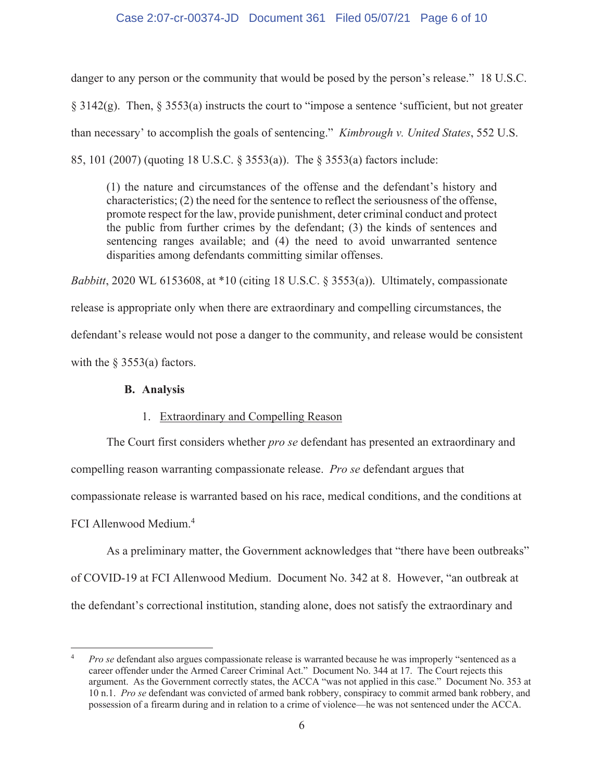# Case 2:07-cr-00374-JD Document 361 Filed 05/07/21 Page 6 of 10

danger to any person or the community that would be posed by the person's release." 18 U.S.C.  $\S$  3142(g). Then,  $\S$  3553(a) instructs the court to "impose a sentence 'sufficient, but not greater than necessary' to accomplish the goals of sentencing." *Kimbrough v. United States*, 552 U.S. 85, 101 (2007) (quoting 18 U.S.C. § 3553(a)). The § 3553(a) factors include:

 $(1)$  the nature and circumstances of the offense and the defendant's history and characteristics;  $(2)$  the need for the sentence to reflect the seriousness of the offense, promote respect for the law, provide punishment, deter criminal conduct and protect the public from further crimes by the defendant;  $(3)$  the kinds of sentences and sentencing ranges available; and (4) the need to avoid unwarranted sentence disparities among defendants committing similar offenses.

Babbitt, 2020 WL 6153608, at \*10 (citing 18 U.S.C. § 3553(a)). Ultimately, compassionate release is appropriate only when there are extraordinary and compelling circumstances, the defendant's release would not pose a danger to the community, and release would be consistent with the  $\S$  3553(a) factors.

## **B.** Analysis

# 1. Extraordinary and Compelling Reason

The Court first considers whether *pro se* defendant has presented an extraordinary and compelling reason warranting compassionate release. *Pro se* defendant argues that compassionate release is warranted based on his race, medical conditions, and the conditions at FCI Allenwood Medium.<sup>4</sup>

As a preliminary matter, the Government acknowledges that "there have been outbreaks" of COVID-19 at FCI Allenwood Medium. Document No. 342 at 8. However, "an outbreak at the defendant's correctional institution, standing alone, does not satisfy the extraordinary and

 $\overline{4}$ Pro se defendant also argues compassionate release is warranted because he was improperly "sentenced as a career offender under the Armed Career Criminal Act." Document No. 344 at 17. The Court rejects this argument. As the Government correctly states, the ACCA "was not applied in this case." Document No. 353 at 10 n.1. Pro se defendant was convicted of armed bank robbery, conspiracy to commit armed bank robbery, and possession of a firearm during and in relation to a crime of violence—he was not sentenced under the ACCA.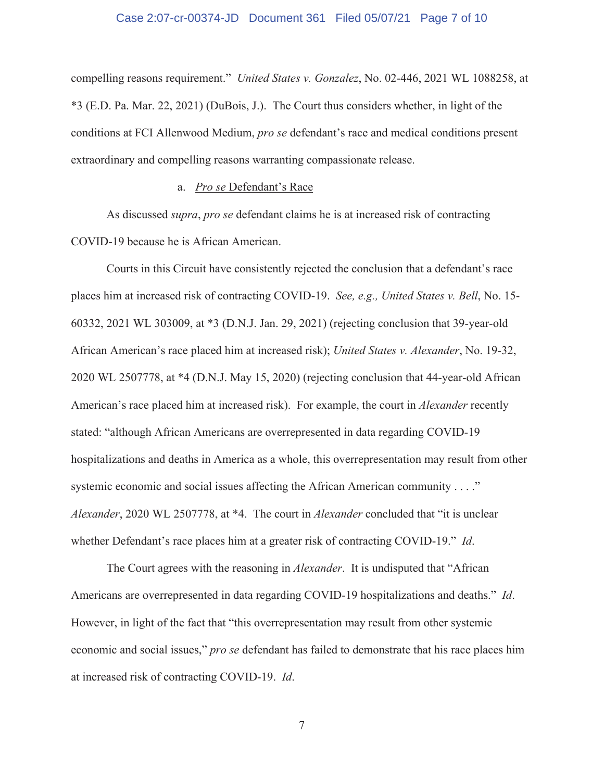#### Case 2:07-cr-00374-JD Document 361 Filed 05/07/21 Page 7 of 10

compelling reasons requirement." United States v. Gonzalez, No. 02-446, 2021 WL 1088258, at \*3 (E.D. Pa. Mar. 22, 2021) (DuBois, J.). The Court thus considers whether, in light of the conditions at FCI Allenwood Medium, *pro se* defendant's race and medical conditions present extraordinary and compelling reasons warranting compassionate release.

## a. *Pro se* Defendant's Race

As discussed *supra, pro se* defendant claims he is at increased risk of contracting COVID-19 because he is African American.

Courts in this Circuit have consistently rejected the conclusion that a defendant's race places him at increased risk of contracting COVID-19. See, e.g., United States v. Bell, No. 15-60332, 2021 WL 303009, at \*3 (D.N.J. Jan. 29, 2021) (rejecting conclusion that 39-year-old African American's race placed him at increased risk); *United States v. Alexander*, No. 19-32, 2020 WL 2507778, at \*4 (D.N.J. May 15, 2020) (rejecting conclusion that 44-year-old African American's race placed him at increased risk). For example, the court in *Alexander* recently stated: "although African Americans are overrepresented in data regarding COVID-19 hospitalizations and deaths in America as a whole, this overrepresentation may result from other systemic economic and social issues affecting the African American community  $\dots$ ." Alexander, 2020 WL 2507778, at \*4. The court in *Alexander* concluded that "it is unclear whether Defendant's race places him at a greater risk of contracting COVID-19." Id.

The Court agrees with the reasoning in *Alexander*. It is undisputed that "African" Americans are overrepresented in data regarding COVID-19 hospitalizations and deaths." *Id*. However, in light of the fact that "this overrepresentation may result from other systemic economic and social issues," pro se defendant has failed to demonstrate that his race places him at increased risk of contracting COVID-19. *Id.* 

 $\boldsymbol{7}$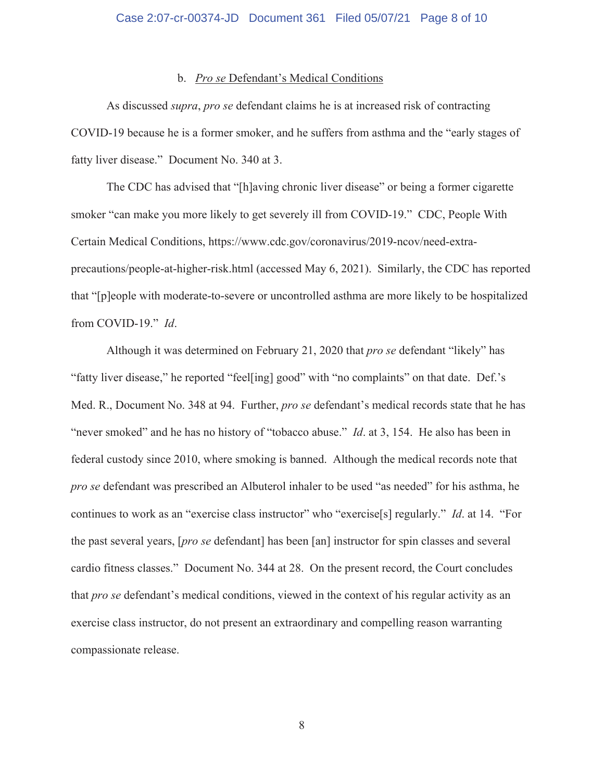## Case 2:07-cr-00374-JD Document 361 Filed 05/07/21 Page 8 of 10

#### b. *Pro se Defendant's Medical Conditions*

As discussed *supra, pro se* defendant claims he is at increased risk of contracting COVID-19 because he is a former smoker, and he suffers from asthma and the "early stages of fatty liver disease." Document No. 340 at 3.

The CDC has advised that "[h]aving chronic liver disease" or being a former cigarette smoker "can make you more likely to get severely ill from COVID-19." CDC, People With Certain Medical Conditions, https://www.cdc.gov/coronavirus/2019-ncov/need-extraprecautions/people-at-higher-risk.html (accessed May 6, 2021). Similarly, the CDC has reported that "[p]eople with moderate-to-severe or uncontrolled asthma are more likely to be hospitalized from COVID-19." *Id.* 

Although it was determined on February 21, 2020 that pro se defendant "likely" has "fatty liver disease," he reported "feel[ing] good" with "no complaints" on that date. Def.'s Med. R., Document No. 348 at 94. Further, *pro se* defendant's medical records state that he has "never smoked" and he has no history of "tobacco abuse." *Id.* at 3, 154. He also has been in federal custody since 2010, where smoking is banned. Although the medical records note that *pro se* defendant was prescribed an Albuterol inhaler to be used "as needed" for his asthma, he continues to work as an "exercise class instructor" who "exercise<sup>[s]</sup> regularly." *Id.* at 14. "For the past several years, [*pro se* defendant] has been [an] instructor for spin classes and several cardio fitness classes." Document No. 344 at 28. On the present record, the Court concludes that *pro se* defendant's medical conditions, viewed in the context of his regular activity as an  $\alpha$  exercise class instructor, do not present an extraordinary and compelling reason warranting compassionate release.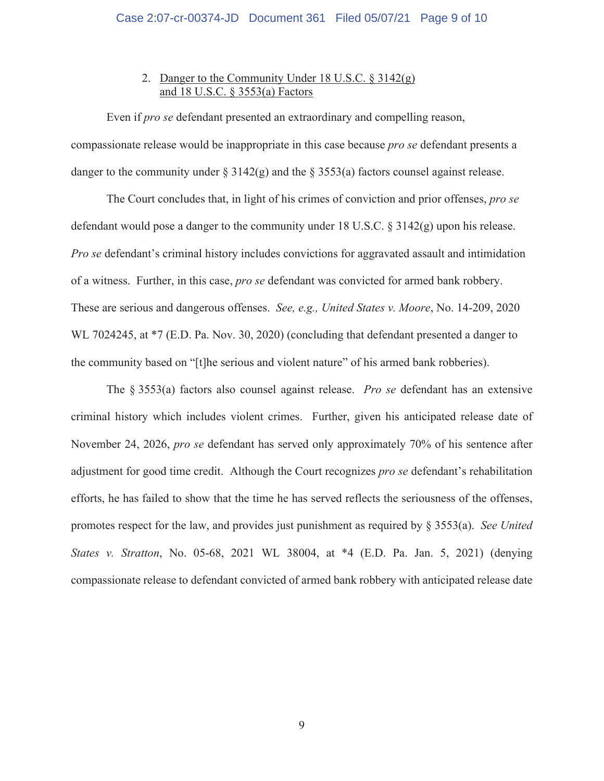# 2. Danger to the Community Under 18 U.S.C.  $\S 3142(g)$ and 18 U.S.C. § 3553(a) Factors

Even if *pro se* defendant presented an extraordinary and compelling reason, compassionate release would be inappropriate in this case because *pro se* defendant presents a danger to the community under  $\S 3142(g)$  and the  $\S 3553(a)$  factors counsel against release.

The Court concludes that, in light of his crimes of conviction and prior offenses, pro se defendant would pose a danger to the community under 18 U.S.C.  $\S 3142(g)$  upon his release. *Pro se* defendant's criminal history includes convictions for aggravated assault and intimidation of a witness. Further, in this case, *pro se* defendant was convicted for armed bank robbery. These are serious and dangerous offenses. See, e.g., United States v. Moore, No. 14-209, 2020 WL 7024245, at \*7 (E.D. Pa. Nov. 30, 2020) (concluding that defendant presented a danger to the community based on "[t]he serious and violent nature" of his armed bank robberies).

The  $\S$  3553(a) factors also counsel against release. *Pro se* defendant has an extensive criminal history which includes violent crimes. Further, given his anticipated release date of November 24, 2026, *pro se* defendant has served only approximately 70% of his sentence after adjustment for good time credit. Although the Court recognizes pro se defendant's rehabilitation efforts, he has failed to show that the time he has served reflects the seriousness of the offenses, promotes respect for the law, and provides just punishment as required by  $\S 3553(a)$ . See United States v. Stratton, No. 05-68, 2021 WL 38004, at \*4 (E.D. Pa. Jan. 5, 2021) (denying compassionate release to defendant convicted of armed bank robbery with anticipated release date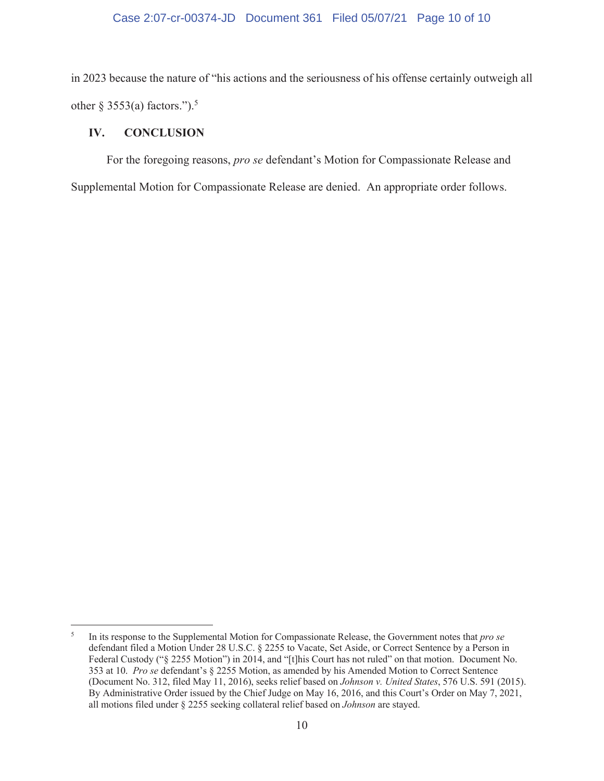## Case 2:07-cr-00374-JD Document 361 Filed 05/07/21 Page 10 of 10

in 2023 because the nature of "his actions and the seriousness of his offense certainly outweigh all other  $\S$  3553(a) factors.").<sup>5</sup>

#### IV. **CONCLUSION**

For the foregoing reasons, pro se defendant's Motion for Compassionate Release and Supplemental Motion for Compassionate Release are denied. An appropriate order follows.

 $\mathfrak{s}$ In its response to the Supplemental Motion for Compassionate Release, the Government notes that pro se defendant filed a Motion Under 28 U.S.C. § 2255 to Vacate, Set Aside, or Correct Sentence by a Person in Federal Custody ("§ 2255 Motion") in 2014, and "[t]his Court has not ruled" on that motion. Document No. 353 at 10. Pro se defendant's § 2255 Motion, as amended by his Amended Motion to Correct Sentence (Document No. 312, filed May 11, 2016), seeks relief based on Johnson v. United States, 576 U.S. 591 (2015). By Administrative Order issued by the Chief Judge on May 16, 2016, and this Court's Order on May 7, 2021, all motions filed under § 2255 seeking collateral relief based on Johnson are stayed.